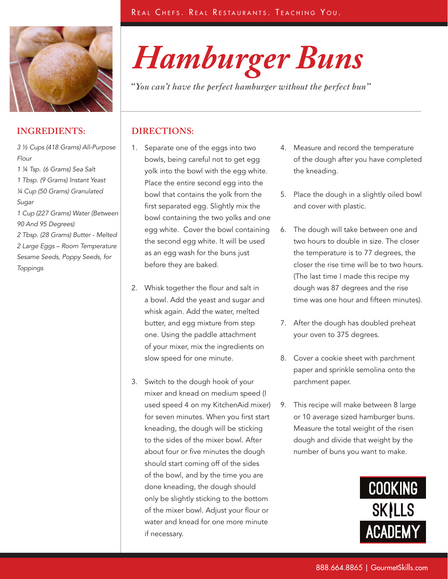

#### **INGREDIENTS:**

*3 ½ Cups (418 Grams) All-Purpose Flour*

*1 ¼ Tsp. (6 Grams) Sea Salt 1 Tbsp. (9 Grams) Instant Yeast ¼ Cup (50 Grams) Granulated* 

*Sugar*

*1 Cup (227 Grams) Water (Between 90 And 95 Degrees)*

*2 Tbsp. (28 Grams) Butter - Melted 2 Large Eggs – Room Temperature Sesame Seeds, Poppy Seeds, for Toppings*

## *Hamburger Buns*

*"You can't have the perfect hamburger without the perfect bun"*

### **DIRECTIONS:**

- 1. Separate one of the eggs into two bowls, being careful not to get egg yolk into the bowl with the egg white. Place the entire second egg into the bowl that contains the yolk from the first separated egg. Slightly mix the bowl containing the two yolks and one egg white. Cover the bowl containing the second egg white. It will be used as an egg wash for the buns just before they are baked.
- 2. Whisk together the flour and salt in a bowl. Add the yeast and sugar and whisk again. Add the water, melted butter, and egg mixture from step one. Using the paddle attachment of your mixer, mix the ingredients on slow speed for one minute.
- 3. Switch to the dough hook of your mixer and knead on medium speed (I used speed 4 on my KitchenAid mixer) for seven minutes. When you first start kneading, the dough will be sticking to the sides of the mixer bowl. After about four or five minutes the dough should start coming off of the sides of the bowl, and by the time you are done kneading, the dough should only be slightly sticking to the bottom of the mixer bowl. Adjust your flour or water and knead for one more minute if necessary.
- 4. Measure and record the temperature of the dough after you have completed the kneading.
- 5. Place the dough in a slightly oiled bowl and cover with plastic.
- 6. The dough will take between one and two hours to double in size. The closer the temperature is to 77 degrees, the closer the rise time will be to two hours. (The last time I made this recipe my dough was 87 degrees and the rise time was one hour and fifteen minutes).
- 7. After the dough has doubled preheat your oven to 375 degrees.
- 8. Cover a cookie sheet with parchment paper and sprinkle semolina onto the parchment paper.
- 9. This recipe will make between 8 large or 10 average sized hamburger buns. Measure the total weight of the risen dough and divide that weight by the number of buns you want to make.